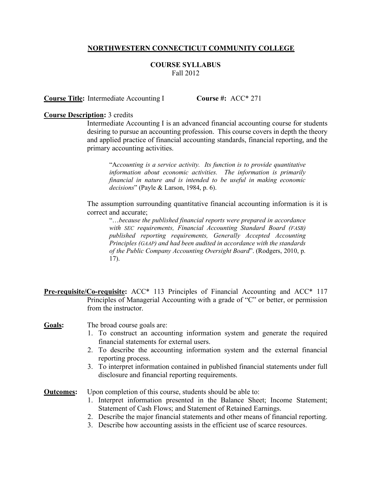## **NORTHWESTERN CONNECTICUT COMMUNITY COLLEGE**

## **COURSE SYLLABUS** Fall 2012

**Course Title:** Intermediate Accounting I **Course #:** ACC\* 271

## **Course Description:** 3 credits

Intermediate Accounting I is an advanced financial accounting course for students desiring to pursue an accounting profession. This course covers in depth the theory and applied practice of financial accounting standards, financial reporting, and the primary accounting activities.

"A*ccounting is a service activity. Its function is to provide quantitative information about economic activities. The information is primarily financial in nature and is intended to be useful in making economic decisions*" (Payle & Larson, 1984, p. 6).

The assumption surrounding quantitative financial accounting information is it is correct and accurate;

"…*because the published financial reports were prepared in accordance with SEC requirements, Financial Accounting Standard Board (FASB) published reporting requirements, Generally Accepted Accounting Principles (GAAP) and had been audited in accordance with the standards of the Public Company Accounting Oversight Board*". (Rodgers, 2010, p. 17).

**Pre-requisite/Co-requisite:** ACC\* 113 Principles of Financial Accounting and ACC\* 117 Principles of Managerial Accounting with a grade of "C" or better, or permission from the instructor.

## Goals: The broad course goals are:

- 1. To construct an accounting information system and generate the required financial statements for external users.
- 2. To describe the accounting information system and the external financial reporting process.
- 3. To interpret information contained in published financial statements under full disclosure and financial reporting requirements.

**<u>Outcomes</u>:** Upon completion of this course, students should be able to:

- 1. Interpret information presented in the Balance Sheet; Income Statement; Statement of Cash Flows; and Statement of Retained Earnings.
- 2. Describe the major financial statements and other means of financial reporting.
- 3. Describe how accounting assists in the efficient use of scarce resources.